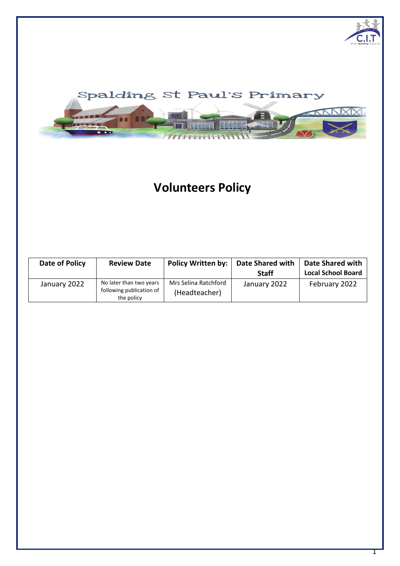

# **Volunteers Policy**

| Date of Policy | <b>Review Date</b>                                                | <b>Policy Written by:</b>             | <b>Date Shared with</b><br><b>Staff</b> | <b>Date Shared with</b><br><b>Local School Board</b> |
|----------------|-------------------------------------------------------------------|---------------------------------------|-----------------------------------------|------------------------------------------------------|
| January 2022   | No later than two years<br>following publication of<br>the policy | Mrs Selina Ratchford<br>(Headteacher) | January 2022                            | February 2022                                        |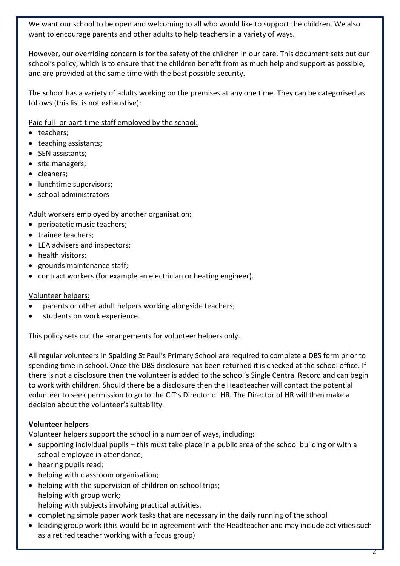We want our school to be open and welcoming to all who would like to support the children. We also want to encourage parents and other adults to help teachers in a variety of ways.

However, our overriding concern is for the safety of the children in our care. This document sets out our school's policy, which is to ensure that the children benefit from as much help and support as possible, and are provided at the same time with the best possible security.

The school has a variety of adults working on the premises at any one time. They can be categorised as follows (this list is not exhaustive):

Paid full- or part-time staff employed by the school:

- teachers;
- teaching assistants;
- SEN assistants;
- site managers;
- cleaners:
- lunchtime supervisors;
- school administrators

# Adult workers employed by another organisation:

- peripatetic music teachers;
- trainee teachers;
- LEA advisers and inspectors;
- health visitors:
- grounds maintenance staff;
- contract workers (for example an electrician or heating engineer).

# Volunteer helpers:

- parents or other adult helpers working alongside teachers;
- students on work experience.

This policy sets out the arrangements for volunteer helpers only.

All regular volunteers in Spalding St Paul's Primary School are required to complete a DBS form prior to spending time in school. Once the DBS disclosure has been returned it is checked at the school office. If there is not a disclosure then the volunteer is added to the school's Single Central Record and can begin to work with children. Should there be a disclosure then the Headteacher will contact the potential volunteer to seek permission to go to the CIT's Director of HR. The Director of HR will then make a decision about the volunteer's suitability.

# **Volunteer helpers**

Volunteer helpers support the school in a number of ways, including:

- supporting individual pupils this must take place in a public area of the school building or with a school employee in attendance;
- hearing pupils read;
- helping with classroom organisation;
- helping with the supervision of children on school trips; helping with group work; helping with subjects involving practical activities.
- completing simple paper work tasks that are necessary in the daily running of the school
- leading group work (this would be in agreement with the Headteacher and may include activities such as a retired teacher working with a focus group)